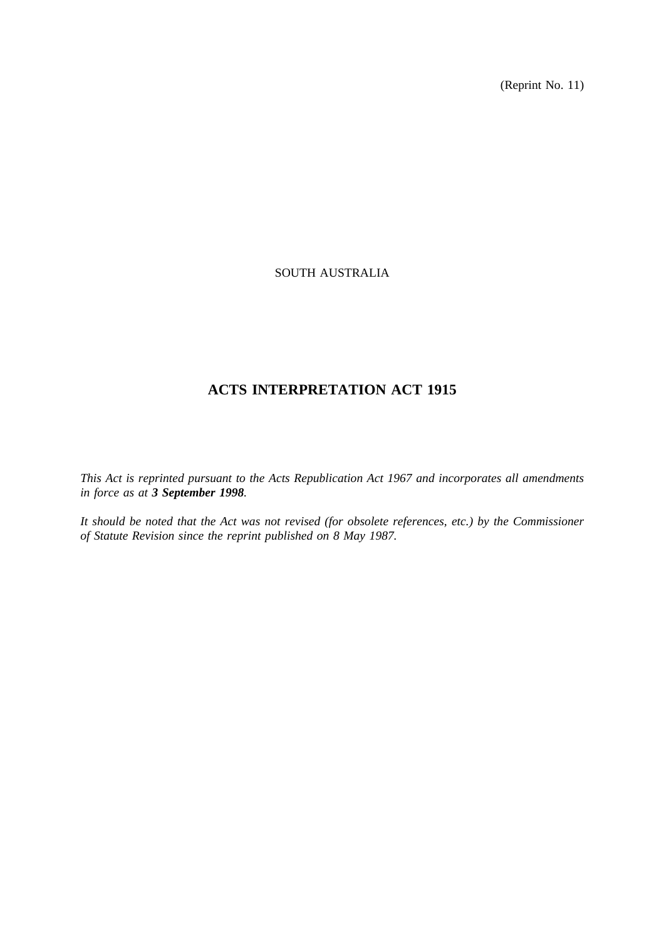(Reprint No. 11)

# SOUTH AUSTRALIA

# **ACTS INTERPRETATION ACT 1915**

*This Act is reprinted pursuant to the Acts Republication Act 1967 and incorporates all amendments in force as at 3 September 1998.*

*It should be noted that the Act was not revised (for obsolete references, etc.) by the Commissioner of Statute Revision since the reprint published on 8 May 1987.*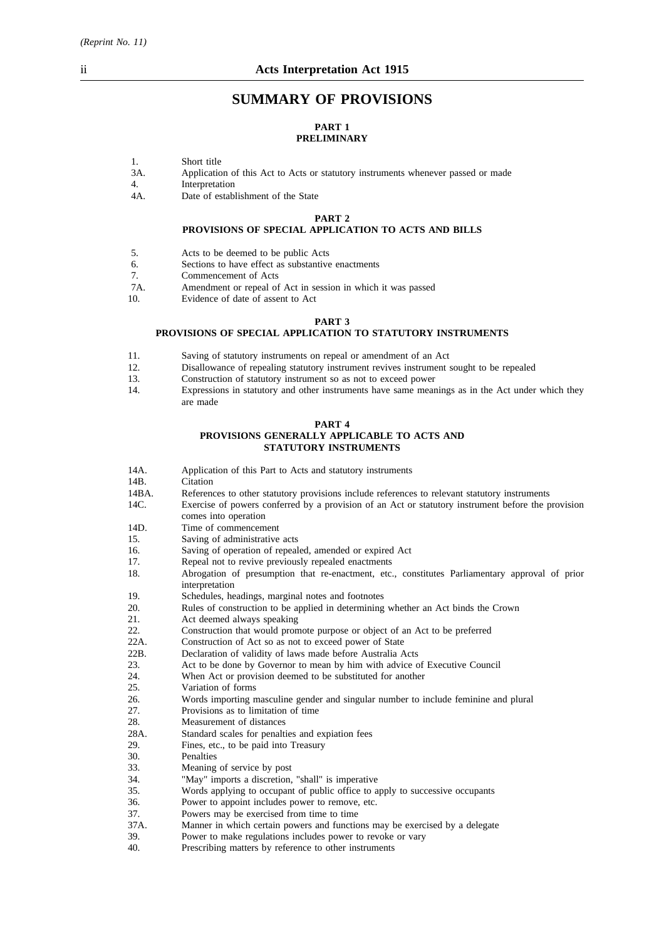# **SUMMARY OF PROVISIONS**

## **PART 1 PRELIMINARY**

- 1. Short title
- 3A. Application of this Act to Acts or statutory instruments whenever passed or made
- 4. Interpretation
- 4A. Date of establishment of the State

## **PART 2 PROVISIONS OF SPECIAL APPLICATION TO ACTS AND BILLS**

- 5. Acts to be deemed to be public Acts
- 6. Sections to have effect as substantive enactments
- 7. Commencement of Acts
- 7A. Amendment or repeal of Act in session in which it was passed<br>10
- Evidence of date of assent to Act

#### **PART 3**

#### **PROVISIONS OF SPECIAL APPLICATION TO STATUTORY INSTRUMENTS**

- 11. Saving of statutory instruments on repeal or amendment of an Act
- 12. Disallowance of repealing statutory instrument revives instrument sought to be repealed
- 13. Construction of statutory instrument so as not to exceed power
- 14. Expressions in statutory and other instruments have same meanings as in the Act under which they are made

#### **PART 4 PROVISIONS GENERALLY APPLICABLE TO ACTS AND STATUTORY INSTRUMENTS**

- 14A. Application of this Part to Acts and statutory instruments 14B. Citation
- Citation
- 14BA. References to other statutory provisions include references to relevant statutory instruments
- 14C. Exercise of powers conferred by a provision of an Act or statutory instrument before the provision comes into operation
- 14D. Time of commencement
- 15. Saving of administrative acts
- 16. Saving of operation of repealed, amended or expired Act
- 17. Repeal not to revive previously repealed enactments
- 18. Abrogation of presumption that re-enactment, etc., constitutes Parliamentary approval of prior interpretation
- 19. Schedules, headings, marginal notes and footnotes
- 20. Rules of construction to be applied in determining whether an Act binds the Crown
- 21. Act deemed always speaking<br>22 Construction that would pron
- Construction that would promote purpose or object of an Act to be preferred
- 22A. Construction of Act so as not to exceed power of State
- 22B. Declaration of validity of laws made before Australia Acts
- 23. Act to be done by Governor to mean by him with advice of Executive Council
- 24. When Act or provision deemed to be substituted for another
- 25. Variation of forms
- 26. Words importing masculine gender and singular number to include feminine and plural
- 27. Provisions as to limitation of time
- 28. Measurement of distances
- 28A. Standard scales for penalties and expiation fees
- 29. Fines, etc., to be paid into Treasury
- 30. Penalties<br>33. Meaning
- Meaning of service by post
- 34. "May" imports a discretion, "shall" is imperative
- 35. Words applying to occupant of public office to apply to successive occupants<br>36. Power to appoint includes nower to remove, etc.
- 36. Power to appoint includes power to remove, etc.<br>37. Powers may be exercised from time to time
- Powers may be exercised from time to time
- 37A. Manner in which certain powers and functions may be exercised by a delegate 39. Power to make regulations includes power to revoke or vary
- 39. Power to make regulations includes power to revoke or vary<br>40. Prescribing matters by reference to other instruments
- Prescribing matters by reference to other instruments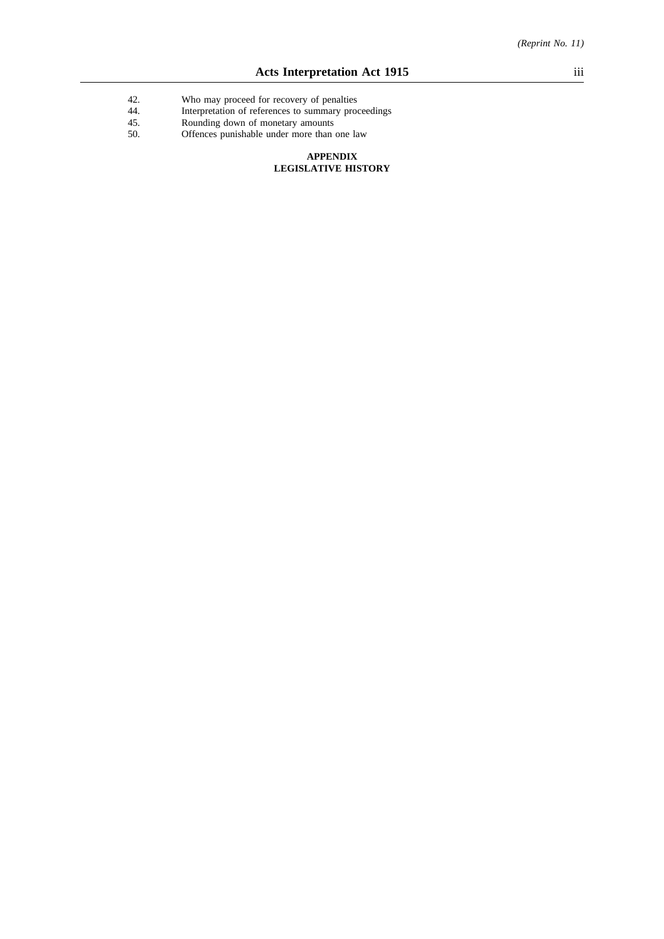- 42. Who may proceed for recovery of penalties
- 44. Interpretation of references to summary proceedings
- 45. Rounding down of monetary amounts
- 50. Offences punishable under more than one law

#### **APPENDIX LEGISLATIVE HISTORY**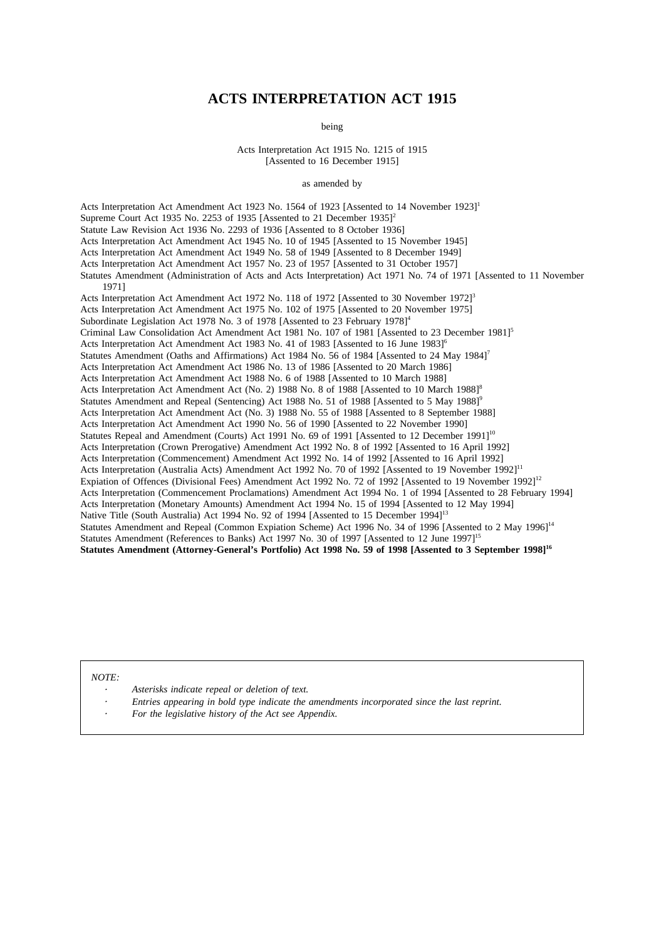# **ACTS INTERPRETATION ACT 1915**

being

Acts Interpretation Act 1915 No. 1215 of 1915 [Assented to 16 December 1915]

#### as amended by

Acts Interpretation Act Amendment Act 1923 No. 1564 of 1923 [Assented to 14 November 1923]1 Supreme Court Act 1935 No. 2253 of 1935 [Assented to 21 December 1935]<sup>2</sup> Statute Law Revision Act 1936 No. 2293 of 1936 [Assented to 8 October 1936] Acts Interpretation Act Amendment Act 1945 No. 10 of 1945 [Assented to 15 November 1945] Acts Interpretation Act Amendment Act 1949 No. 58 of 1949 [Assented to 8 December 1949] Acts Interpretation Act Amendment Act 1957 No. 23 of 1957 [Assented to 31 October 1957] Statutes Amendment (Administration of Acts and Acts Interpretation) Act 1971 No. 74 of 1971 [Assented to 11 November 1971] Acts Interpretation Act Amendment Act 1972 No. 118 of 1972 [Assented to 30 November 1972]<sup>3</sup> Acts Interpretation Act Amendment Act 1975 No. 102 of 1975 [Assented to 20 November 1975] Subordinate Legislation Act 1978 No. 3 of 1978 [Assented to 23 February 1978]<sup>4</sup> Criminal Law Consolidation Act Amendment Act 1981 No. 107 of 1981 [Assented to 23 December 1981]<sup>5</sup> Acts Interpretation Act Amendment Act 1983 No. 41 of 1983 [Assented to 16 June 1983]<sup>6</sup> Statutes Amendment (Oaths and Affirmations) Act 1984 No. 56 of 1984 [Assented to 24 May 1984]<sup>7</sup> Acts Interpretation Act Amendment Act 1986 No. 13 of 1986 [Assented to 20 March 1986] Acts Interpretation Act Amendment Act 1988 No. 6 of 1988 [Assented to 10 March 1988] Acts Interpretation Act Amendment Act (No. 2) 1988 No. 8 of 1988 [Assented to 10 March 1988]<sup>8</sup> Statutes Amendment and Repeal (Sentencing) Act 1988 No. 51 of 1988 [Assented to 5 May 1988]<sup>6</sup> Acts Interpretation Act Amendment Act (No. 3) 1988 No. 55 of 1988 [Assented to 8 September 1988] Acts Interpretation Act Amendment Act 1990 No. 56 of 1990 [Assented to 22 November 1990] Statutes Repeal and Amendment (Courts) Act 1991 No. 69 of 1991 [Assented to 12 December 1991]<sup>10</sup> Acts Interpretation (Crown Prerogative) Amendment Act 1992 No. 8 of 1992 [Assented to 16 April 1992] Acts Interpretation (Commencement) Amendment Act 1992 No. 14 of 1992 [Assented to 16 April 1992] Acts Interpretation (Australia Acts) Amendment Act 1992 No. 70 of 1992 [Assented to 19 November 1992]<sup>11</sup> Expiation of Offences (Divisional Fees) Amendment Act 1992 No. 72 of 1992 [Assented to 19 November 1992]<sup>12</sup> Acts Interpretation (Commencement Proclamations) Amendment Act 1994 No. 1 of 1994 [Assented to 28 February 1994] Acts Interpretation (Monetary Amounts) Amendment Act 1994 No. 15 of 1994 [Assented to 12 May 1994] Native Title (South Australia) Act 1994 No. 92 of 1994 [Assented to 15 December 1994]<sup>13</sup> Statutes Amendment and Repeal (Common Expiation Scheme) Act 1996 No. 34 of 1996 [Assented to 2 May 1996]<sup>14</sup> Statutes Amendment (References to Banks) Act 1997 No. 30 of 1997 [Assented to 12 June 1997]<sup>15</sup> **Statutes Amendment (Attorney-General's Portfolio) Act 1998 No. 59 of 1998 [Assented to 3 September 1998]16**

*NOTE:*

- *Asterisks indicate repeal or deletion of text.*
- *Entries appearing in bold type indicate the amendments incorporated since the last reprint.*
- *For the legislative history of the Act see Appendix.*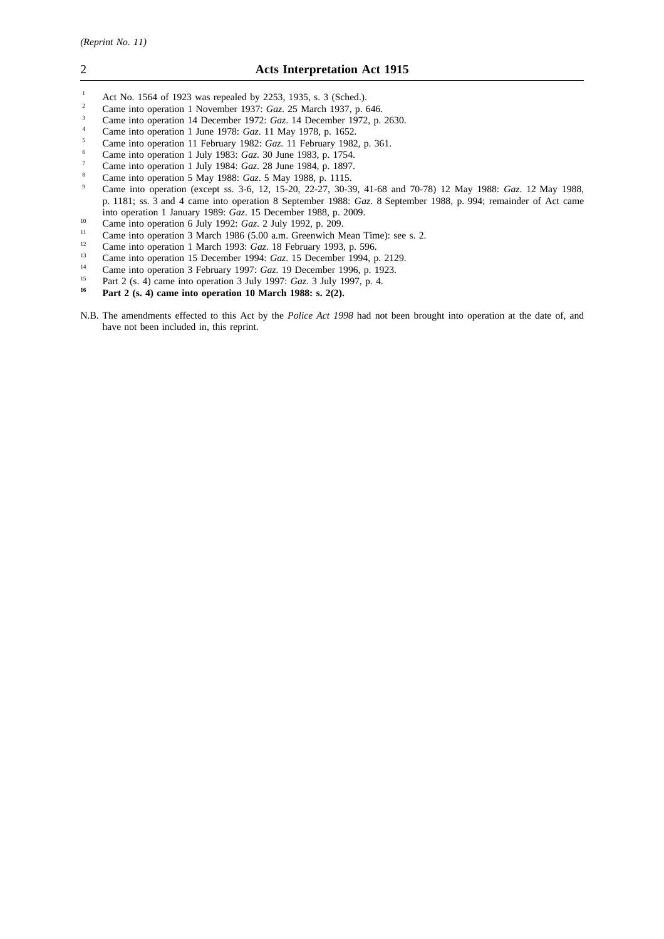- <sup>1</sup> Act No. 1564 of 1923 was repealed by 2253, 1935, s. 3 (Sched.).<br><sup>2</sup> Came into operation 1 November 1937; Gaz. 25 March 1937, p.
- <sup>2</sup> Came into operation 1 November 1937: *Gaz.* 25 March 1937, p. 646.
- <sup>3</sup> Came into operation 14 December 1972: *Gaz*. 14 December 1972, p. 2630.
- <sup>4</sup> Came into operation 1 June 1978: *Gaz*. 11 May 1978, p. 1652.<br><sup>5</sup> Came into operation 11 February 1982: *Gaz*. 11 February 1982
- <sup>5</sup> Came into operation 11 February 1982: *Gaz*. 11 February 1982, p. 361.
- <sup>6</sup> Came into operation 1 July 1983: *Gaz*. 30 June 1983, p. 1754.
- <sup>7</sup> Came into operation 1 July 1984: *Gaz*. 28 June 1984, p. 1897.
- <sup>8</sup> Came into operation 5 May 1988: *Gaz*. 5 May 1988, p. 1115.
- <sup>9</sup> Came into operation (except ss. 3-6, 12, 15-20, 22-27, 30-39, 41-68 and 70-78) 12 May 1988: *Gaz*. 12 May 1988, p. 1181; ss. 3 and 4 came into operation 8 September 1988: *Gaz*. 8 September 1988, p. 994; remainder of Act came into operation 1 January 1989: *Gaz*. 15 December 1988, p. 2009.
- <sup>10</sup> Came into operation 6 July 1992: *Gaz*. 2 July 1992, p. 209.
- <sup>11</sup> Came into operation 3 March 1986 (5.00 a.m. Greenwich Mean Time): see s. 2.<br><sup>12</sup> Came into operation 1 March 1993:  $Ga$ , 18 February 1993, p. 596
- <sup>12</sup> Came into operation 1 March 1993: *Gaz*. 18 February 1993, p. 596.
- <sup>13</sup> Came into operation 15 December 1994: *Gaz.* 15 December 1994, p. 2129.
- <sup>14</sup> Came into operation 3 February 1997: *Gaz*. 19 December 1996, p. 1923.
- <sup>15</sup> Part 2 (s. 4) came into operation 3 July 1997: *Gaz*. 3 July 1997, p. 4.<br> $\frac{16}{10}$  Part 2 (s. 4) came into operation 10 March 1988: s. 2(2)
- **<sup>16</sup> Part 2 (s. 4) came into operation 10 March 1988: s. 2(2).**
- N.B. The amendments effected to this Act by the *Police Act 1998* had not been brought into operation at the date of, and have not been included in, this reprint.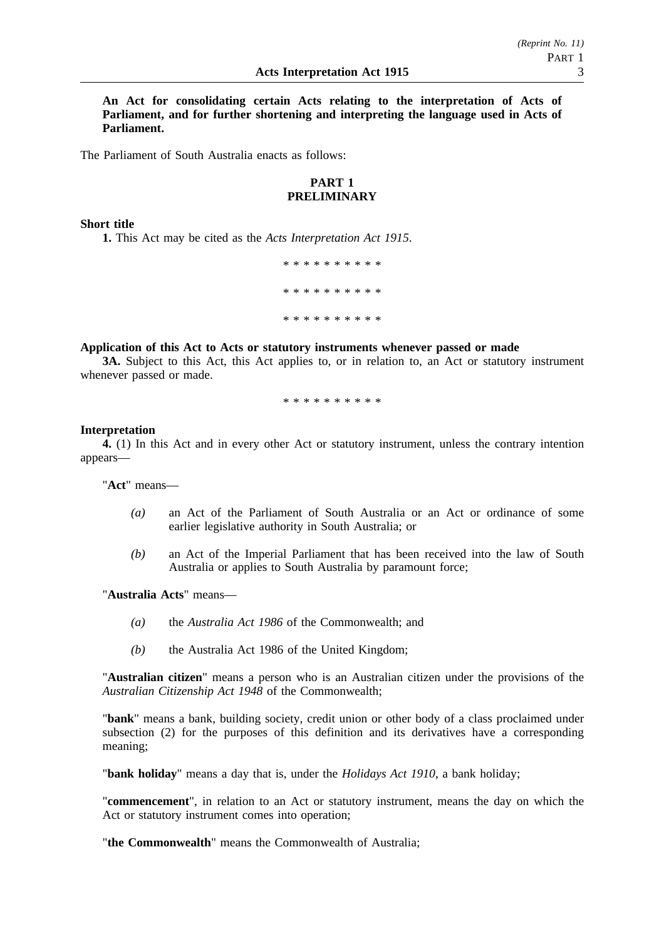**An Act for consolidating certain Acts relating to the interpretation of Acts of Parliament, and for further shortening and interpreting the language used in Acts of Parliament.**

The Parliament of South Australia enacts as follows:

# **PART 1 PRELIMINARY**

## **Short title**

**1.** This Act may be cited as the *Acts Interpretation Act 1915*.

\*\*\*\*\*\*\*\*\*\* \*\*\*\*\*\*\*\*\*\* \*\*\*\*\*\*\*\*\*\*

## **Application of this Act to Acts or statutory instruments whenever passed or made**

**3A.** Subject to this Act, this Act applies to, or in relation to, an Act or statutory instrument whenever passed or made.

\*\*\*\*\*\*\*\*\*\*

## **Interpretation**

**4.** (1) In this Act and in every other Act or statutory instrument, unless the contrary intention appears—

"**Act**" means—

- *(a)* an Act of the Parliament of South Australia or an Act or ordinance of some earlier legislative authority in South Australia; or
- *(b)* an Act of the Imperial Parliament that has been received into the law of South Australia or applies to South Australia by paramount force;

"**Australia Acts**" means—

- *(a)* the *Australia Act 1986* of the Commonwealth; and
- *(b)* the Australia Act 1986 of the United Kingdom;

"**Australian citizen**" means a person who is an Australian citizen under the provisions of the *Australian Citizenship Act 1948* of the Commonwealth;

"**bank**" means a bank, building society, credit union or other body of a class proclaimed under subsection (2) for the purposes of this definition and its derivatives have a corresponding meaning;

"**bank holiday**" means a day that is, under the *Holidays Act 1910*, a bank holiday;

"**commencement**", in relation to an Act or statutory instrument, means the day on which the Act or statutory instrument comes into operation;

"**the Commonwealth**" means the Commonwealth of Australia;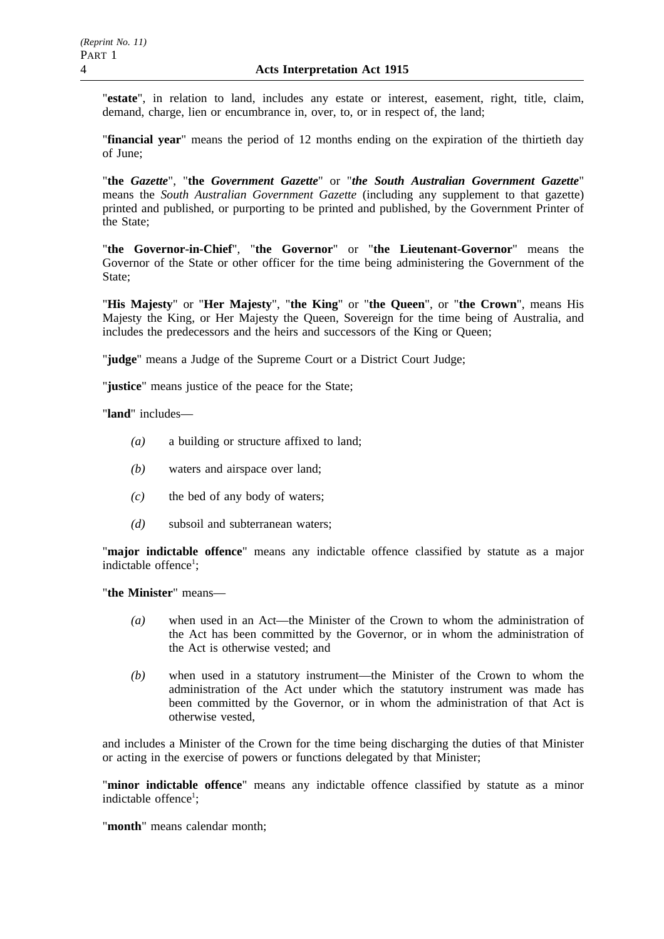"**estate**", in relation to land, includes any estate or interest, easement, right, title, claim, demand, charge, lien or encumbrance in, over, to, or in respect of, the land;

"**financial year**" means the period of 12 months ending on the expiration of the thirtieth day of June;

"**the** *Gazette*", "**the** *Government Gazette*" or "*the South Australian Government Gazette*" means the *South Australian Government Gazette* (including any supplement to that gazette) printed and published, or purporting to be printed and published, by the Government Printer of the State;

"**the Governor-in-Chief**", "**the Governor**" or "**the Lieutenant-Governor**" means the Governor of the State or other officer for the time being administering the Government of the State:

"**His Majesty**" or "**Her Majesty**", "**the King**" or "**the Queen**", or "**the Crown**", means His Majesty the King, or Her Majesty the Queen, Sovereign for the time being of Australia, and includes the predecessors and the heirs and successors of the King or Queen;

"**judge**" means a Judge of the Supreme Court or a District Court Judge;

"**justice**" means justice of the peace for the State;

"**land**" includes—

- *(a)* a building or structure affixed to land;
- *(b)* waters and airspace over land;
- *(c)* the bed of any body of waters;
- *(d)* subsoil and subterranean waters;

"**major indictable offence**" means any indictable offence classified by statute as a major indictable offence<sup>1</sup>;

"**the Minister**" means—

- *(a)* when used in an Act—the Minister of the Crown to whom the administration of the Act has been committed by the Governor, or in whom the administration of the Act is otherwise vested; and
- *(b)* when used in a statutory instrument—the Minister of the Crown to whom the administration of the Act under which the statutory instrument was made has been committed by the Governor, or in whom the administration of that Act is otherwise vested,

and includes a Minister of the Crown for the time being discharging the duties of that Minister or acting in the exercise of powers or functions delegated by that Minister;

"**minor indictable offence**" means any indictable offence classified by statute as a minor indictable offence<sup>1</sup>;

"**month**" means calendar month;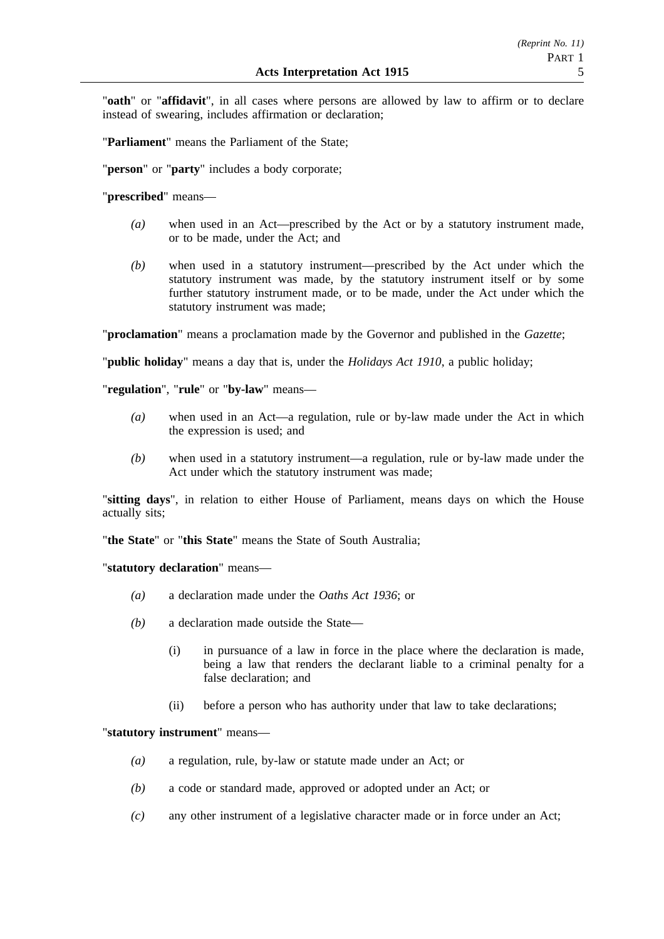"**oath**" or "**affidavit**", in all cases where persons are allowed by law to affirm or to declare instead of swearing, includes affirmation or declaration;

"**Parliament**" means the Parliament of the State;

"**person**" or "**party**" includes a body corporate;

"**prescribed**" means—

- *(a)* when used in an Act—prescribed by the Act or by a statutory instrument made, or to be made, under the Act; and
- *(b)* when used in a statutory instrument—prescribed by the Act under which the statutory instrument was made, by the statutory instrument itself or by some further statutory instrument made, or to be made, under the Act under which the statutory instrument was made;

"**proclamation**" means a proclamation made by the Governor and published in the *Gazette*;

"**public holiday**" means a day that is, under the *Holidays Act 1910*, a public holiday;

"**regulation**", "**rule**" or "**by-law**" means—

- *(a)* when used in an Act—a regulation, rule or by-law made under the Act in which the expression is used; and
- *(b)* when used in a statutory instrument—a regulation, rule or by-law made under the Act under which the statutory instrument was made;

"**sitting days**", in relation to either House of Parliament, means days on which the House actually sits;

"**the State**" or "**this State**" means the State of South Australia;

"**statutory declaration**" means—

- *(a)* a declaration made under the *Oaths Act 1936*; or
- *(b)* a declaration made outside the State—
	- (i) in pursuance of a law in force in the place where the declaration is made, being a law that renders the declarant liable to a criminal penalty for a false declaration; and
	- (ii) before a person who has authority under that law to take declarations;

"**statutory instrument**" means—

- *(a)* a regulation, rule, by-law or statute made under an Act; or
- *(b)* a code or standard made, approved or adopted under an Act; or
- *(c)* any other instrument of a legislative character made or in force under an Act;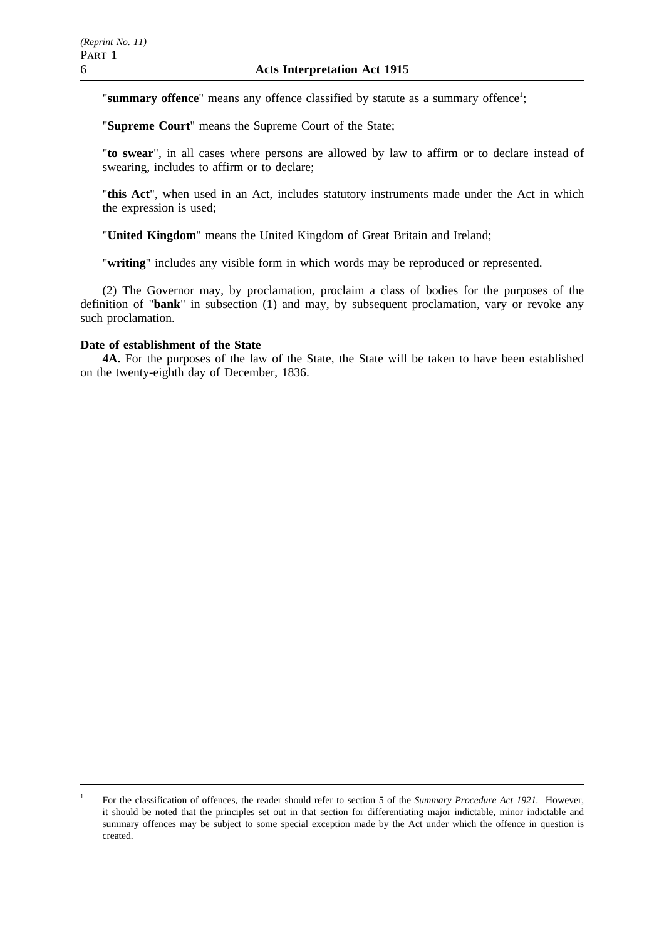"summary offence" means any offence classified by statute as a summary offence<sup>1</sup>;

"**Supreme Court**" means the Supreme Court of the State;

"**to swear**", in all cases where persons are allowed by law to affirm or to declare instead of swearing, includes to affirm or to declare;

"**this Act**", when used in an Act, includes statutory instruments made under the Act in which the expression is used;

"**United Kingdom**" means the United Kingdom of Great Britain and Ireland;

"**writing**" includes any visible form in which words may be reproduced or represented.

(2) The Governor may, by proclamation, proclaim a class of bodies for the purposes of the definition of "**bank**" in subsection (1) and may, by subsequent proclamation, vary or revoke any such proclamation.

## **Date of establishment of the State**

**4A.** For the purposes of the law of the State, the State will be taken to have been established on the twenty-eighth day of December, 1836.

<sup>1</sup> For the classification of offences, the reader should refer to section 5 of the *Summary Procedure Act 1921.* However, it should be noted that the principles set out in that section for differentiating major indictable, minor indictable and summary offences may be subject to some special exception made by the Act under which the offence in question is created.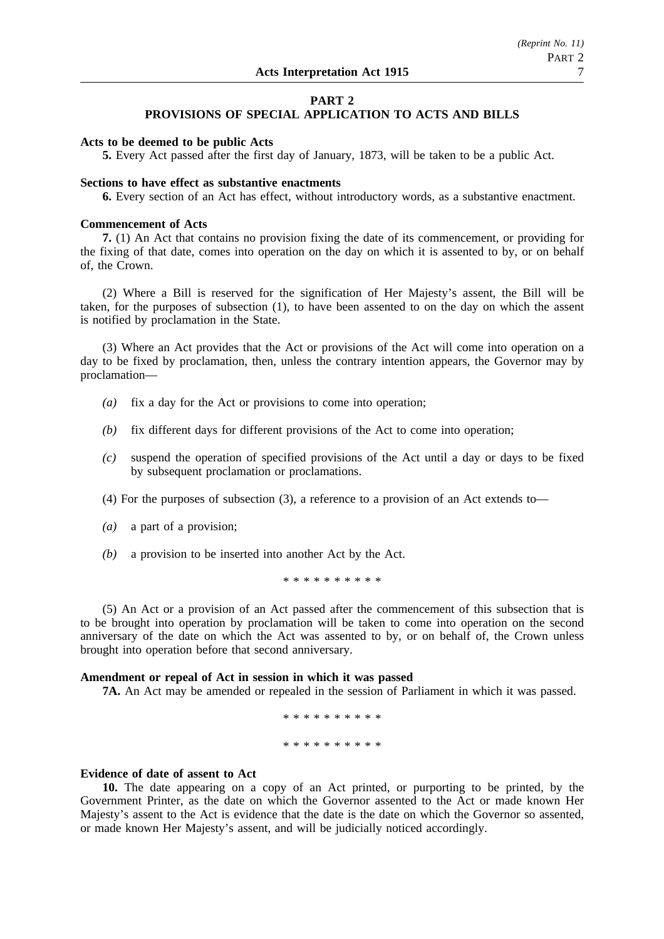## **PART 2 PROVISIONS OF SPECIAL APPLICATION TO ACTS AND BILLS**

## **Acts to be deemed to be public Acts**

**5.** Every Act passed after the first day of January, 1873, will be taken to be a public Act.

## **Sections to have effect as substantive enactments**

**6.** Every section of an Act has effect, without introductory words, as a substantive enactment.

## **Commencement of Acts**

**7.** (1) An Act that contains no provision fixing the date of its commencement, or providing for the fixing of that date, comes into operation on the day on which it is assented to by, or on behalf of, the Crown.

(2) Where a Bill is reserved for the signification of Her Majesty's assent, the Bill will be taken, for the purposes of subsection (1), to have been assented to on the day on which the assent is notified by proclamation in the State.

(3) Where an Act provides that the Act or provisions of the Act will come into operation on a day to be fixed by proclamation, then, unless the contrary intention appears, the Governor may by proclamation—

- *(a)* fix a day for the Act or provisions to come into operation;
- *(b)* fix different days for different provisions of the Act to come into operation;
- *(c)* suspend the operation of specified provisions of the Act until a day or days to be fixed by subsequent proclamation or proclamations.
- (4) For the purposes of subsection (3), a reference to a provision of an Act extends to—
- *(a)* a part of a provision;
- *(b)* a provision to be inserted into another Act by the Act.

\*\*\*\*\*\*\*\*\*\*

(5) An Act or a provision of an Act passed after the commencement of this subsection that is to be brought into operation by proclamation will be taken to come into operation on the second anniversary of the date on which the Act was assented to by, or on behalf of, the Crown unless brought into operation before that second anniversary.

## **Amendment or repeal of Act in session in which it was passed**

**7A.** An Act may be amended or repealed in the session of Parliament in which it was passed.

\*\*\*\*\*\*\*\*\*\* \*\*\*\*\*\*\*\*\*\*

## **Evidence of date of assent to Act**

**10.** The date appearing on a copy of an Act printed, or purporting to be printed, by the Government Printer, as the date on which the Governor assented to the Act or made known Her Majesty's assent to the Act is evidence that the date is the date on which the Governor so assented, or made known Her Majesty's assent, and will be judicially noticed accordingly.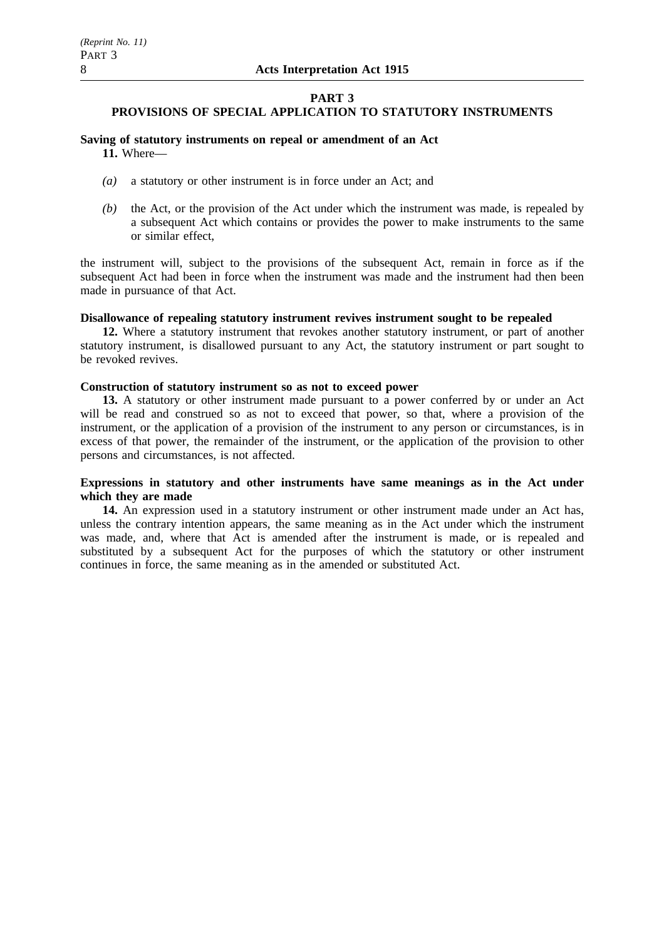## **PART 3**

## **PROVISIONS OF SPECIAL APPLICATION TO STATUTORY INSTRUMENTS**

# **Saving of statutory instruments on repeal or amendment of an Act**

**11.** Where—

- *(a)* a statutory or other instrument is in force under an Act; and
- *(b)* the Act, or the provision of the Act under which the instrument was made, is repealed by a subsequent Act which contains or provides the power to make instruments to the same or similar effect,

the instrument will, subject to the provisions of the subsequent Act, remain in force as if the subsequent Act had been in force when the instrument was made and the instrument had then been made in pursuance of that Act.

## **Disallowance of repealing statutory instrument revives instrument sought to be repealed**

**12.** Where a statutory instrument that revokes another statutory instrument, or part of another statutory instrument, is disallowed pursuant to any Act, the statutory instrument or part sought to be revoked revives.

## **Construction of statutory instrument so as not to exceed power**

**13.** A statutory or other instrument made pursuant to a power conferred by or under an Act will be read and construed so as not to exceed that power, so that, where a provision of the instrument, or the application of a provision of the instrument to any person or circumstances, is in excess of that power, the remainder of the instrument, or the application of the provision to other persons and circumstances, is not affected.

## **Expressions in statutory and other instruments have same meanings as in the Act under which they are made**

**14.** An expression used in a statutory instrument or other instrument made under an Act has, unless the contrary intention appears, the same meaning as in the Act under which the instrument was made, and, where that Act is amended after the instrument is made, or is repealed and substituted by a subsequent Act for the purposes of which the statutory or other instrument continues in force, the same meaning as in the amended or substituted Act.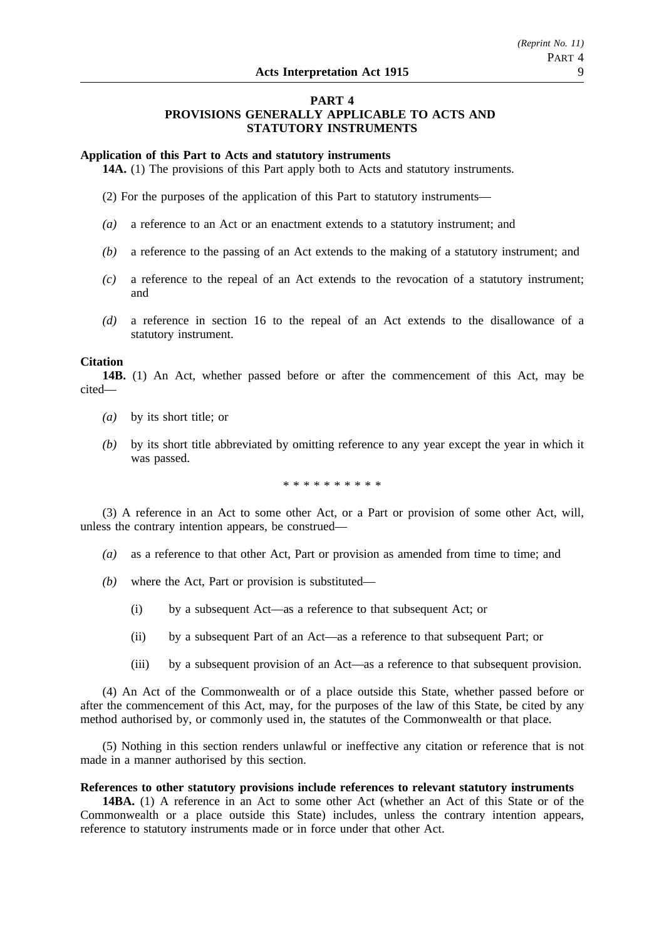## **PART 4 PROVISIONS GENERALLY APPLICABLE TO ACTS AND STATUTORY INSTRUMENTS**

## **Application of this Part to Acts and statutory instruments**

**14A.** (1) The provisions of this Part apply both to Acts and statutory instruments.

(2) For the purposes of the application of this Part to statutory instruments—

- *(a)* a reference to an Act or an enactment extends to a statutory instrument; and
- *(b)* a reference to the passing of an Act extends to the making of a statutory instrument; and
- *(c)* a reference to the repeal of an Act extends to the revocation of a statutory instrument; and
- *(d)* a reference in section 16 to the repeal of an Act extends to the disallowance of a statutory instrument.

## **Citation**

**14B.** (1) An Act, whether passed before or after the commencement of this Act, may be cited—

- *(a)* by its short title; or
- *(b)* by its short title abbreviated by omitting reference to any year except the year in which it was passed.

\* \* \* \* \* \* \* \* \*

(3) A reference in an Act to some other Act, or a Part or provision of some other Act, will, unless the contrary intention appears, be construed—

- *(a)* as a reference to that other Act, Part or provision as amended from time to time; and
- *(b)* where the Act, Part or provision is substituted—
	- (i) by a subsequent Act—as a reference to that subsequent Act; or
	- (ii) by a subsequent Part of an Act—as a reference to that subsequent Part; or
	- (iii) by a subsequent provision of an Act—as a reference to that subsequent provision.

(4) An Act of the Commonwealth or of a place outside this State, whether passed before or after the commencement of this Act, may, for the purposes of the law of this State, be cited by any method authorised by, or commonly used in, the statutes of the Commonwealth or that place.

(5) Nothing in this section renders unlawful or ineffective any citation or reference that is not made in a manner authorised by this section.

## **References to other statutory provisions include references to relevant statutory instruments**

**14BA.** (1) A reference in an Act to some other Act (whether an Act of this State or of the Commonwealth or a place outside this State) includes, unless the contrary intention appears, reference to statutory instruments made or in force under that other Act.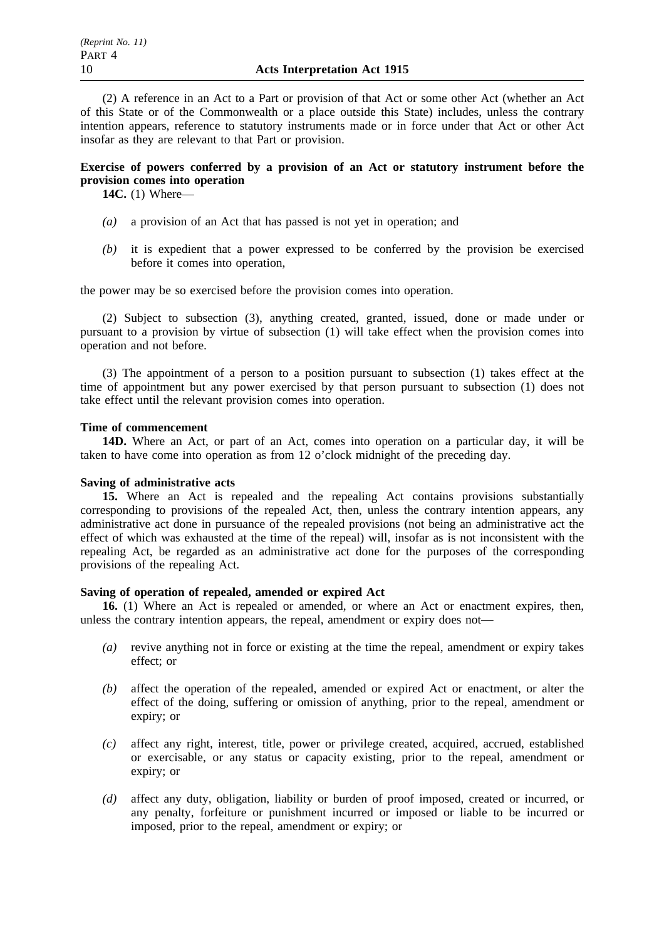(2) A reference in an Act to a Part or provision of that Act or some other Act (whether an Act of this State or of the Commonwealth or a place outside this State) includes, unless the contrary intention appears, reference to statutory instruments made or in force under that Act or other Act insofar as they are relevant to that Part or provision.

# **Exercise of powers conferred by a provision of an Act or statutory instrument before the provision comes into operation**

**14C.** (1) Where—

- *(a)* a provision of an Act that has passed is not yet in operation; and
- *(b)* it is expedient that a power expressed to be conferred by the provision be exercised before it comes into operation,

the power may be so exercised before the provision comes into operation.

(2) Subject to subsection (3), anything created, granted, issued, done or made under or pursuant to a provision by virtue of subsection (1) will take effect when the provision comes into operation and not before.

(3) The appointment of a person to a position pursuant to subsection (1) takes effect at the time of appointment but any power exercised by that person pursuant to subsection (1) does not take effect until the relevant provision comes into operation.

## **Time of commencement**

**14D.** Where an Act, or part of an Act, comes into operation on a particular day, it will be taken to have come into operation as from 12 o'clock midnight of the preceding day.

# **Saving of administrative acts**

**15.** Where an Act is repealed and the repealing Act contains provisions substantially corresponding to provisions of the repealed Act, then, unless the contrary intention appears, any administrative act done in pursuance of the repealed provisions (not being an administrative act the effect of which was exhausted at the time of the repeal) will, insofar as is not inconsistent with the repealing Act, be regarded as an administrative act done for the purposes of the corresponding provisions of the repealing Act.

## **Saving of operation of repealed, amended or expired Act**

**16.** (1) Where an Act is repealed or amended, or where an Act or enactment expires, then, unless the contrary intention appears, the repeal, amendment or expiry does not—

- *(a)* revive anything not in force or existing at the time the repeal, amendment or expiry takes effect; or
- *(b)* affect the operation of the repealed, amended or expired Act or enactment, or alter the effect of the doing, suffering or omission of anything, prior to the repeal, amendment or expiry; or
- *(c)* affect any right, interest, title, power or privilege created, acquired, accrued, established or exercisable, or any status or capacity existing, prior to the repeal, amendment or expiry; or
- *(d)* affect any duty, obligation, liability or burden of proof imposed, created or incurred, or any penalty, forfeiture or punishment incurred or imposed or liable to be incurred or imposed, prior to the repeal, amendment or expiry; or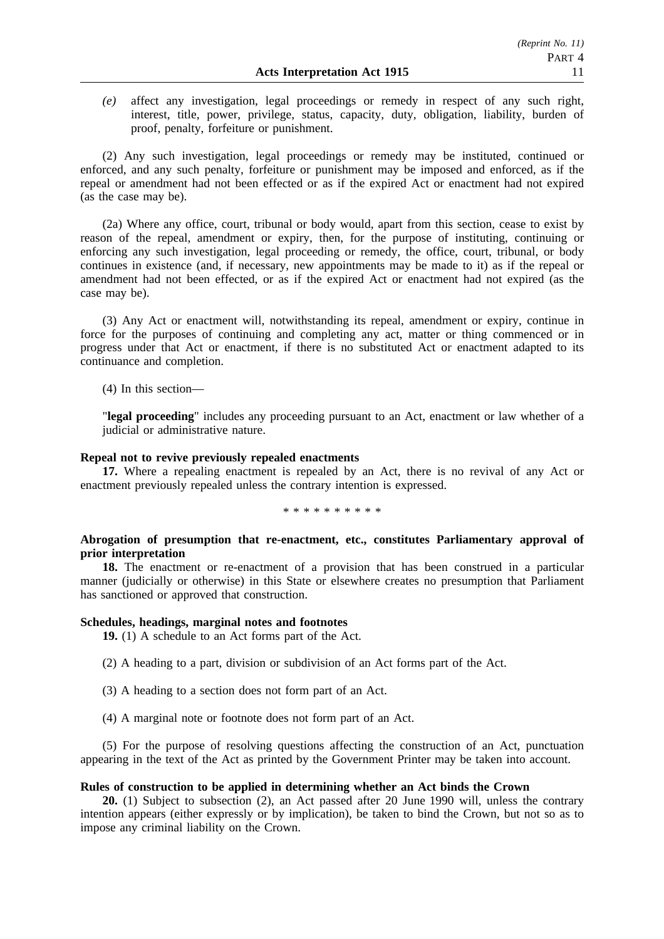*(e)* affect any investigation, legal proceedings or remedy in respect of any such right, interest, title, power, privilege, status, capacity, duty, obligation, liability, burden of proof, penalty, forfeiture or punishment.

(2) Any such investigation, legal proceedings or remedy may be instituted, continued or enforced, and any such penalty, forfeiture or punishment may be imposed and enforced, as if the repeal or amendment had not been effected or as if the expired Act or enactment had not expired (as the case may be).

(2a) Where any office, court, tribunal or body would, apart from this section, cease to exist by reason of the repeal, amendment or expiry, then, for the purpose of instituting, continuing or enforcing any such investigation, legal proceeding or remedy, the office, court, tribunal, or body continues in existence (and, if necessary, new appointments may be made to it) as if the repeal or amendment had not been effected, or as if the expired Act or enactment had not expired (as the case may be).

(3) Any Act or enactment will, notwithstanding its repeal, amendment or expiry, continue in force for the purposes of continuing and completing any act, matter or thing commenced or in progress under that Act or enactment, if there is no substituted Act or enactment adapted to its continuance and completion.

(4) In this section—

"**legal proceeding**" includes any proceeding pursuant to an Act, enactment or law whether of a judicial or administrative nature.

## **Repeal not to revive previously repealed enactments**

**17.** Where a repealing enactment is repealed by an Act, there is no revival of any Act or enactment previously repealed unless the contrary intention is expressed.

\*\*\*\*\*\*\*\*\*\*

## **Abrogation of presumption that re-enactment, etc., constitutes Parliamentary approval of prior interpretation**

**18.** The enactment or re-enactment of a provision that has been construed in a particular manner (judicially or otherwise) in this State or elsewhere creates no presumption that Parliament has sanctioned or approved that construction.

## **Schedules, headings, marginal notes and footnotes**

**19.** (1) A schedule to an Act forms part of the Act.

(2) A heading to a part, division or subdivision of an Act forms part of the Act.

- (3) A heading to a section does not form part of an Act.
- (4) A marginal note or footnote does not form part of an Act.

(5) For the purpose of resolving questions affecting the construction of an Act, punctuation appearing in the text of the Act as printed by the Government Printer may be taken into account.

## **Rules of construction to be applied in determining whether an Act binds the Crown**

**20.** (1) Subject to subsection (2), an Act passed after 20 June 1990 will, unless the contrary intention appears (either expressly or by implication), be taken to bind the Crown, but not so as to impose any criminal liability on the Crown.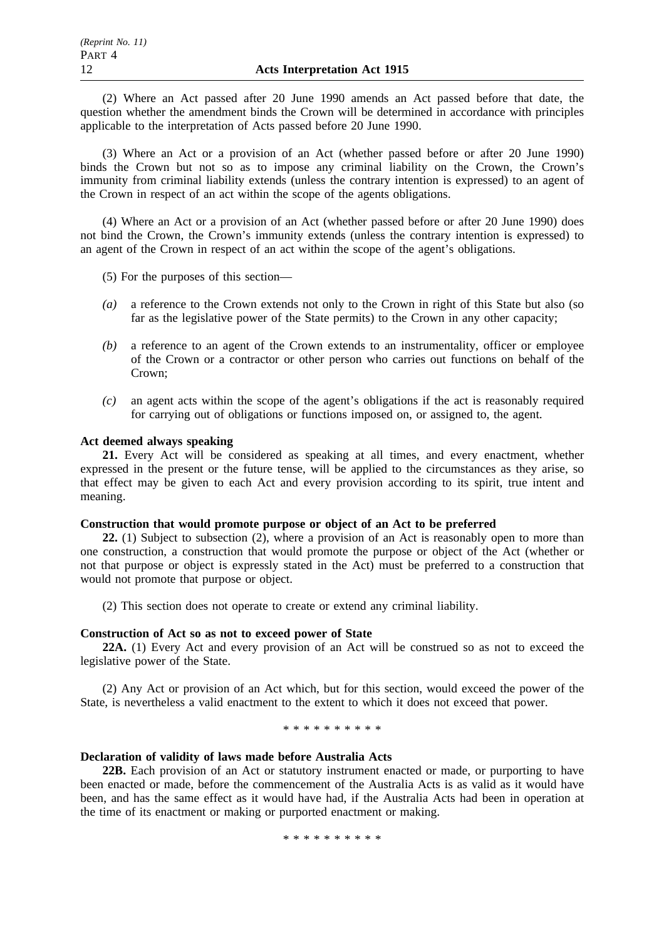(2) Where an Act passed after 20 June 1990 amends an Act passed before that date, the question whether the amendment binds the Crown will be determined in accordance with principles applicable to the interpretation of Acts passed before 20 June 1990.

(3) Where an Act or a provision of an Act (whether passed before or after 20 June 1990) binds the Crown but not so as to impose any criminal liability on the Crown, the Crown's immunity from criminal liability extends (unless the contrary intention is expressed) to an agent of the Crown in respect of an act within the scope of the agents obligations.

(4) Where an Act or a provision of an Act (whether passed before or after 20 June 1990) does not bind the Crown, the Crown's immunity extends (unless the contrary intention is expressed) to an agent of the Crown in respect of an act within the scope of the agent's obligations.

(5) For the purposes of this section—

- *(a)* a reference to the Crown extends not only to the Crown in right of this State but also (so far as the legislative power of the State permits) to the Crown in any other capacity;
- *(b)* a reference to an agent of the Crown extends to an instrumentality, officer or employee of the Crown or a contractor or other person who carries out functions on behalf of the Crown;
- *(c)* an agent acts within the scope of the agent's obligations if the act is reasonably required for carrying out of obligations or functions imposed on, or assigned to, the agent.

## **Act deemed always speaking**

**21.** Every Act will be considered as speaking at all times, and every enactment, whether expressed in the present or the future tense, will be applied to the circumstances as they arise, so that effect may be given to each Act and every provision according to its spirit, true intent and meaning.

## **Construction that would promote purpose or object of an Act to be preferred**

**22.** (1) Subject to subsection (2), where a provision of an Act is reasonably open to more than one construction, a construction that would promote the purpose or object of the Act (whether or not that purpose or object is expressly stated in the Act) must be preferred to a construction that would not promote that purpose or object.

(2) This section does not operate to create or extend any criminal liability.

## **Construction of Act so as not to exceed power of State**

**22A.** (1) Every Act and every provision of an Act will be construed so as not to exceed the legislative power of the State.

(2) Any Act or provision of an Act which, but for this section, would exceed the power of the State, is nevertheless a valid enactment to the extent to which it does not exceed that power.

\*\*\*\*\*\*\*\*\*\*

## **Declaration of validity of laws made before Australia Acts**

**22B.** Each provision of an Act or statutory instrument enacted or made, or purporting to have been enacted or made, before the commencement of the Australia Acts is as valid as it would have been, and has the same effect as it would have had, if the Australia Acts had been in operation at the time of its enactment or making or purported enactment or making.

\*\*\*\*\*\*\*\*\*\*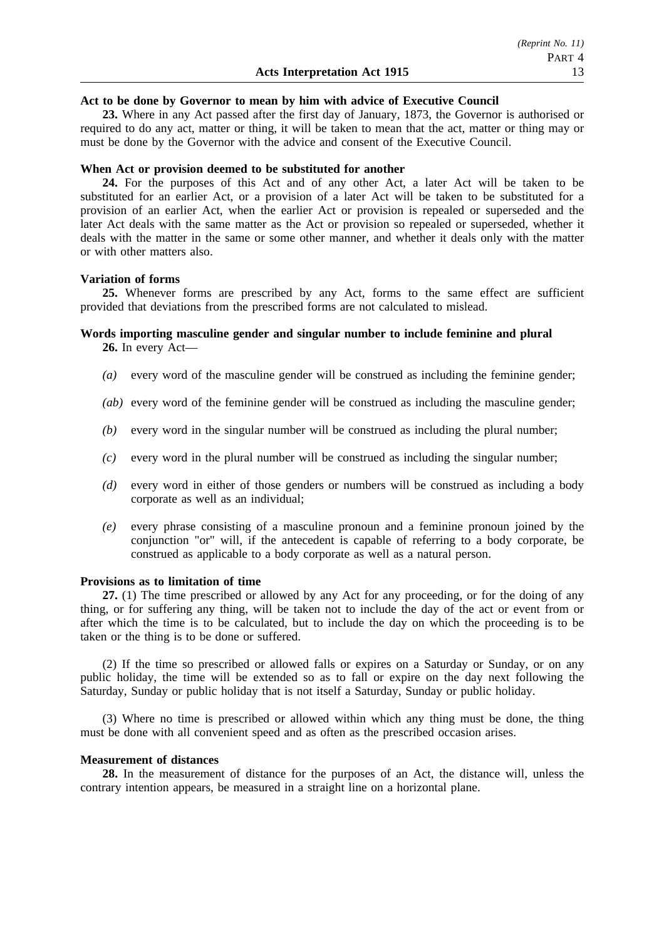## **Act to be done by Governor to mean by him with advice of Executive Council**

**23.** Where in any Act passed after the first day of January, 1873, the Governor is authorised or required to do any act, matter or thing, it will be taken to mean that the act, matter or thing may or must be done by the Governor with the advice and consent of the Executive Council.

## **When Act or provision deemed to be substituted for another**

**24.** For the purposes of this Act and of any other Act, a later Act will be taken to be substituted for an earlier Act, or a provision of a later Act will be taken to be substituted for a provision of an earlier Act, when the earlier Act or provision is repealed or superseded and the later Act deals with the same matter as the Act or provision so repealed or superseded, whether it deals with the matter in the same or some other manner, and whether it deals only with the matter or with other matters also.

## **Variation of forms**

**25.** Whenever forms are prescribed by any Act, forms to the same effect are sufficient provided that deviations from the prescribed forms are not calculated to mislead.

## **Words importing masculine gender and singular number to include feminine and plural 26.** In every Act—

- *(a)* every word of the masculine gender will be construed as including the feminine gender;
- *(ab)* every word of the feminine gender will be construed as including the masculine gender;
- *(b)* every word in the singular number will be construed as including the plural number;
- *(c)* every word in the plural number will be construed as including the singular number;
- *(d)* every word in either of those genders or numbers will be construed as including a body corporate as well as an individual;
- *(e)* every phrase consisting of a masculine pronoun and a feminine pronoun joined by the conjunction "or" will, if the antecedent is capable of referring to a body corporate, be construed as applicable to a body corporate as well as a natural person.

## **Provisions as to limitation of time**

**27.** (1) The time prescribed or allowed by any Act for any proceeding, or for the doing of any thing, or for suffering any thing, will be taken not to include the day of the act or event from or after which the time is to be calculated, but to include the day on which the proceeding is to be taken or the thing is to be done or suffered.

(2) If the time so prescribed or allowed falls or expires on a Saturday or Sunday, or on any public holiday, the time will be extended so as to fall or expire on the day next following the Saturday, Sunday or public holiday that is not itself a Saturday, Sunday or public holiday.

(3) Where no time is prescribed or allowed within which any thing must be done, the thing must be done with all convenient speed and as often as the prescribed occasion arises.

## **Measurement of distances**

**28.** In the measurement of distance for the purposes of an Act, the distance will, unless the contrary intention appears, be measured in a straight line on a horizontal plane.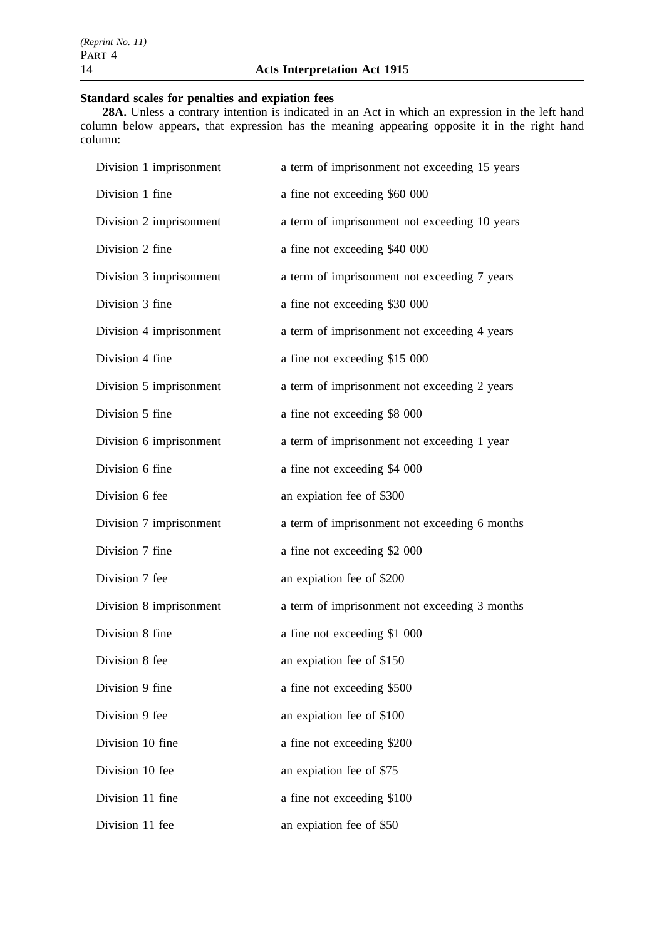# **Standard scales for penalties and expiation fees**

**28A.** Unless a contrary intention is indicated in an Act in which an expression in the left hand column below appears, that expression has the meaning appearing opposite it in the right hand column:

| Division 1 imprisonment | a term of imprisonment not exceeding 15 years |
|-------------------------|-----------------------------------------------|
| Division 1 fine         | a fine not exceeding \$60 000                 |
| Division 2 imprisonment | a term of imprisonment not exceeding 10 years |
| Division 2 fine         | a fine not exceeding \$40 000                 |
| Division 3 imprisonment | a term of imprisonment not exceeding 7 years  |
| Division 3 fine         | a fine not exceeding \$30 000                 |
| Division 4 imprisonment | a term of imprisonment not exceeding 4 years  |
| Division 4 fine         | a fine not exceeding \$15 000                 |
| Division 5 imprisonment | a term of imprisonment not exceeding 2 years  |
| Division 5 fine         | a fine not exceeding \$8 000                  |
| Division 6 imprisonment | a term of imprisonment not exceeding 1 year   |
| Division 6 fine         | a fine not exceeding \$4 000                  |
| Division 6 fee          | an expiation fee of \$300                     |
| Division 7 imprisonment | a term of imprisonment not exceeding 6 months |
| Division 7 fine         | a fine not exceeding \$2 000                  |
| Division 7 fee          | an expiation fee of \$200                     |
| Division 8 imprisonment | a term of imprisonment not exceeding 3 months |
| Division 8 fine         | a fine not exceeding \$1 000                  |
| Division 8 fee          | an expiation fee of \$150                     |
| Division 9 fine         | a fine not exceeding \$500                    |
| Division 9 fee          | an expiation fee of \$100                     |
| Division 10 fine        | a fine not exceeding \$200                    |
| Division 10 fee         | an expiation fee of \$75                      |
| Division 11 fine        | a fine not exceeding \$100                    |
| Division 11 fee         | an expiation fee of \$50                      |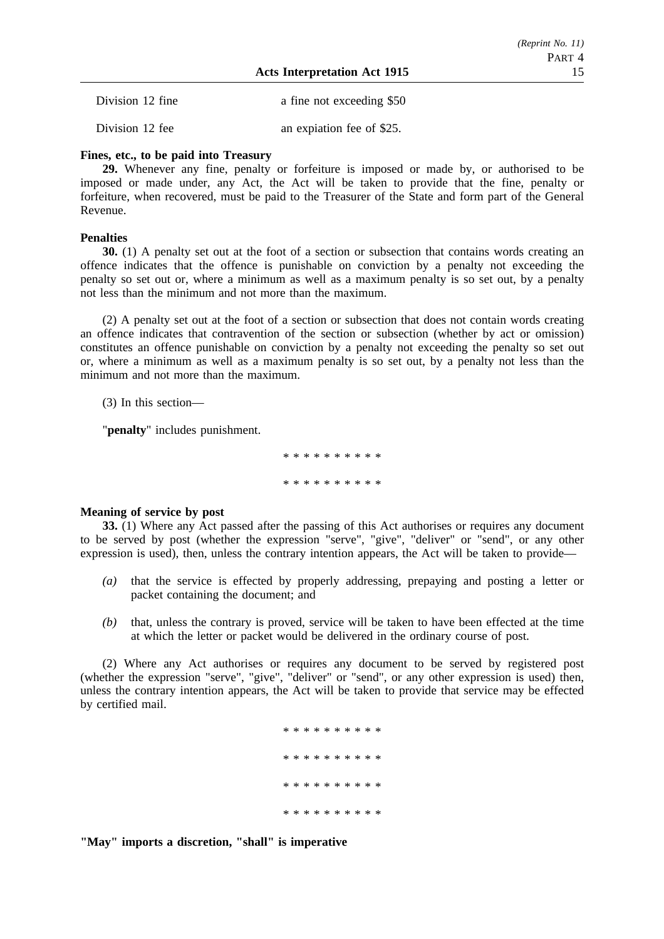| Division 12 fine | a fine not exceeding \$50 |
|------------------|---------------------------|
| Division 12 fee  | an explation fee of \$25. |

## **Fines, etc., to be paid into Treasury**

**29.** Whenever any fine, penalty or forfeiture is imposed or made by, or authorised to be imposed or made under, any Act, the Act will be taken to provide that the fine, penalty or forfeiture, when recovered, must be paid to the Treasurer of the State and form part of the General Revenue.

## **Penalties**

**30.** (1) A penalty set out at the foot of a section or subsection that contains words creating an offence indicates that the offence is punishable on conviction by a penalty not exceeding the penalty so set out or, where a minimum as well as a maximum penalty is so set out, by a penalty not less than the minimum and not more than the maximum.

(2) A penalty set out at the foot of a section or subsection that does not contain words creating an offence indicates that contravention of the section or subsection (whether by act or omission) constitutes an offence punishable on conviction by a penalty not exceeding the penalty so set out or, where a minimum as well as a maximum penalty is so set out, by a penalty not less than the minimum and not more than the maximum.

(3) In this section—

"**penalty**" includes punishment.

\*\*\*\*\*\*\*\*\*\* \*\*\*\*\*\*\*\*\*\*

## **Meaning of service by post**

**33.** (1) Where any Act passed after the passing of this Act authorises or requires any document to be served by post (whether the expression "serve", "give", "deliver" or "send", or any other expression is used), then, unless the contrary intention appears, the Act will be taken to provide—

- *(a)* that the service is effected by properly addressing, prepaying and posting a letter or packet containing the document; and
- *(b)* that, unless the contrary is proved, service will be taken to have been effected at the time at which the letter or packet would be delivered in the ordinary course of post.

(2) Where any Act authorises or requires any document to be served by registered post (whether the expression "serve", "give", "deliver" or "send", or any other expression is used) then, unless the contrary intention appears, the Act will be taken to provide that service may be effected by certified mail.

> \*\*\*\*\*\*\*\*\*\* \*\*\*\*\*\*\*\*\*\* \*\*\*\*\*\*\*\*\*\* \*\*\*\*\*\*\*\*\*\*

**"May" imports a discretion, "shall" is imperative**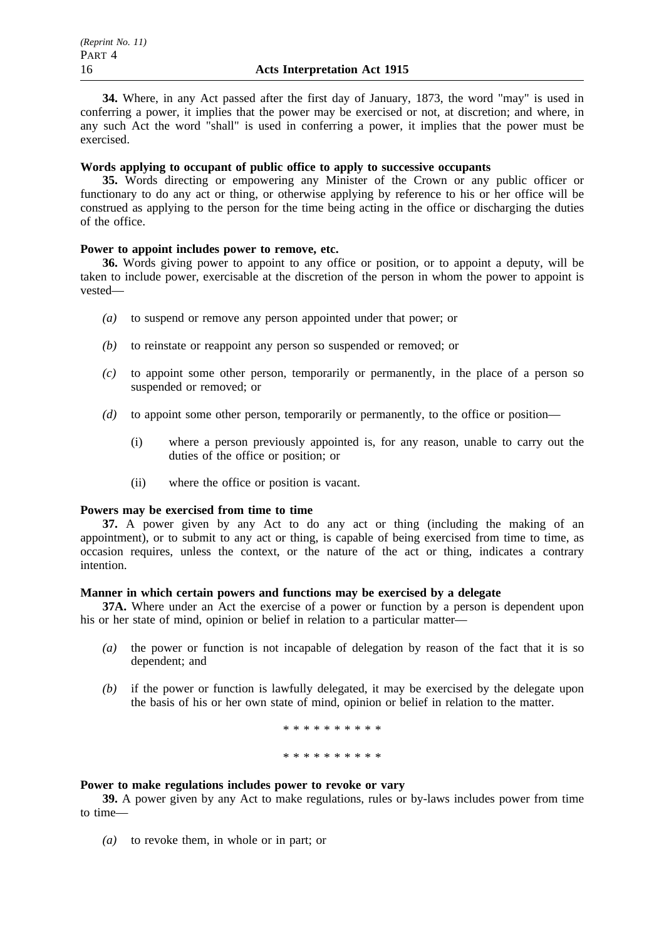**34.** Where, in any Act passed after the first day of January, 1873, the word "may" is used in conferring a power, it implies that the power may be exercised or not, at discretion; and where, in any such Act the word "shall" is used in conferring a power, it implies that the power must be exercised.

## **Words applying to occupant of public office to apply to successive occupants**

**35.** Words directing or empowering any Minister of the Crown or any public officer or functionary to do any act or thing, or otherwise applying by reference to his or her office will be construed as applying to the person for the time being acting in the office or discharging the duties of the office.

## **Power to appoint includes power to remove, etc.**

**36.** Words giving power to appoint to any office or position, or to appoint a deputy, will be taken to include power, exercisable at the discretion of the person in whom the power to appoint is vested—

- *(a)* to suspend or remove any person appointed under that power; or
- *(b)* to reinstate or reappoint any person so suspended or removed; or
- *(c)* to appoint some other person, temporarily or permanently, in the place of a person so suspended or removed: or
- *(d)* to appoint some other person, temporarily or permanently, to the office or position—
	- (i) where a person previously appointed is, for any reason, unable to carry out the duties of the office or position; or
	- (ii) where the office or position is vacant.

## **Powers may be exercised from time to time**

**37.** A power given by any Act to do any act or thing (including the making of an appointment), or to submit to any act or thing, is capable of being exercised from time to time, as occasion requires, unless the context, or the nature of the act or thing, indicates a contrary intention.

## **Manner in which certain powers and functions may be exercised by a delegate**

**37A.** Where under an Act the exercise of a power or function by a person is dependent upon his or her state of mind, opinion or belief in relation to a particular matter—

- *(a)* the power or function is not incapable of delegation by reason of the fact that it is so dependent; and
- *(b)* if the power or function is lawfully delegated, it may be exercised by the delegate upon the basis of his or her own state of mind, opinion or belief in relation to the matter.

\*\*\*\*\*\*\*\*\*\* \*\*\*\*\*\*\*\*\*\*

## **Power to make regulations includes power to revoke or vary**

**39.** A power given by any Act to make regulations, rules or by-laws includes power from time to time—

*(a)* to revoke them, in whole or in part; or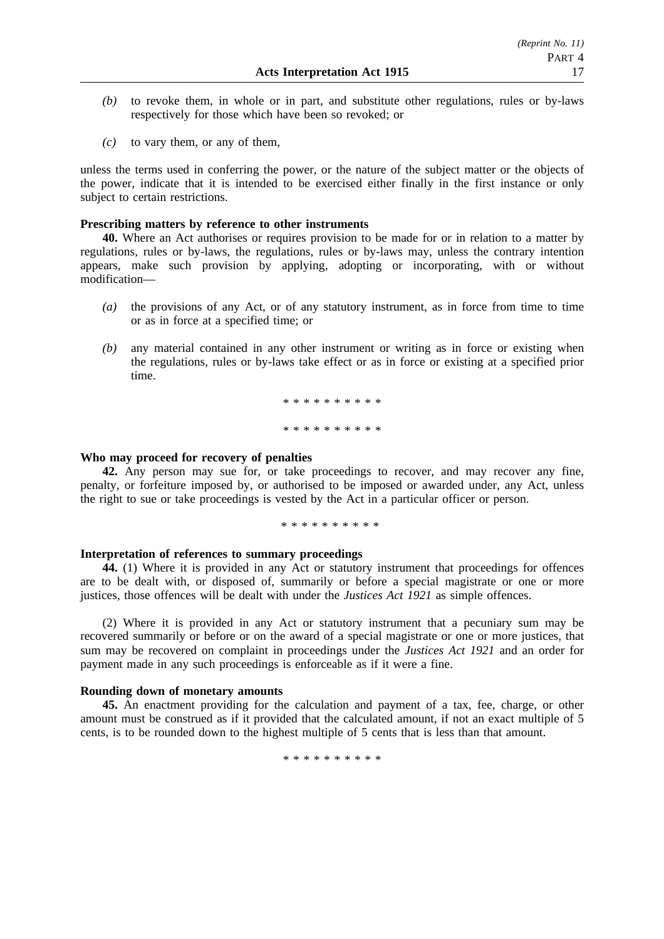- *(b)* to revoke them, in whole or in part, and substitute other regulations, rules or by-laws respectively for those which have been so revoked; or
- *(c)* to vary them, or any of them,

unless the terms used in conferring the power, or the nature of the subject matter or the objects of the power, indicate that it is intended to be exercised either finally in the first instance or only subject to certain restrictions.

## **Prescribing matters by reference to other instruments**

**40.** Where an Act authorises or requires provision to be made for or in relation to a matter by regulations, rules or by-laws, the regulations, rules or by-laws may, unless the contrary intention appears, make such provision by applying, adopting or incorporating, with or without modification—

- *(a)* the provisions of any Act, or of any statutory instrument, as in force from time to time or as in force at a specified time; or
- *(b)* any material contained in any other instrument or writing as in force or existing when the regulations, rules or by-laws take effect or as in force or existing at a specified prior time.

\*\*\*\*\*\*\*\*\*\* \*\*\*\*\*\*\*\*\*\*

## **Who may proceed for recovery of penalties**

**42.** Any person may sue for, or take proceedings to recover, and may recover any fine, penalty, or forfeiture imposed by, or authorised to be imposed or awarded under, any Act, unless the right to sue or take proceedings is vested by the Act in a particular officer or person.

\*\*\*\*\*\*\*\*\*\*

## **Interpretation of references to summary proceedings**

**44.** (1) Where it is provided in any Act or statutory instrument that proceedings for offences are to be dealt with, or disposed of, summarily or before a special magistrate or one or more justices, those offences will be dealt with under the *Justices Act 1921* as simple offences.

(2) Where it is provided in any Act or statutory instrument that a pecuniary sum may be recovered summarily or before or on the award of a special magistrate or one or more justices, that sum may be recovered on complaint in proceedings under the *Justices Act 1921* and an order for payment made in any such proceedings is enforceable as if it were a fine.

## **Rounding down of monetary amounts**

**45.** An enactment providing for the calculation and payment of a tax, fee, charge, or other amount must be construed as if it provided that the calculated amount, if not an exact multiple of 5 cents, is to be rounded down to the highest multiple of 5 cents that is less than that amount.

\*\*\*\*\*\*\*\*\*\*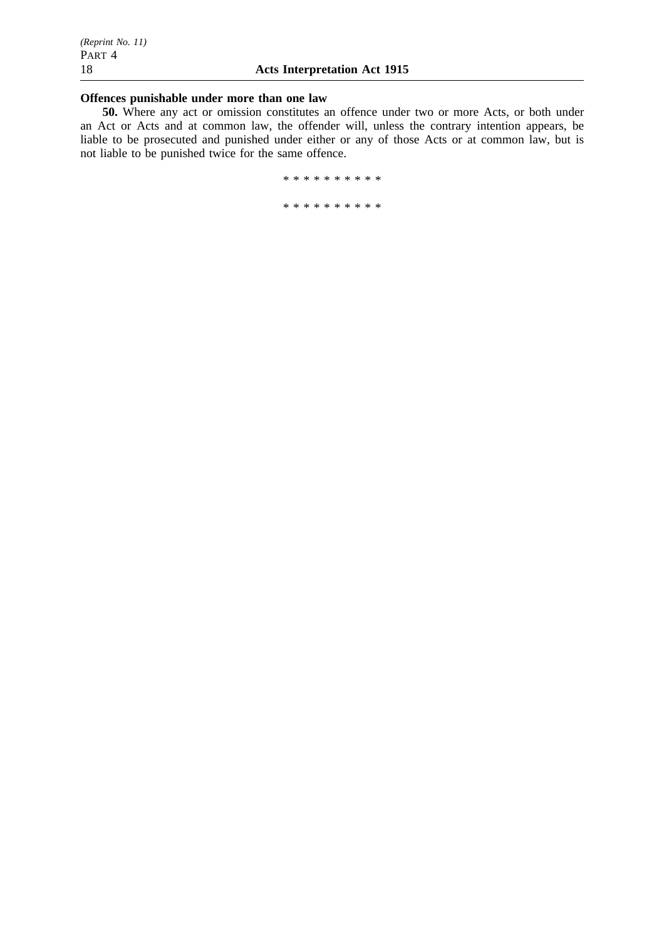## **Offences punishable under more than one law**

**50.** Where any act or omission constitutes an offence under two or more Acts, or both under an Act or Acts and at common law, the offender will, unless the contrary intention appears, be liable to be prosecuted and punished under either or any of those Acts or at common law, but is not liable to be punished twice for the same offence.

\*\*\*\*\*\*\*\*\*\*

\*\*\*\*\*\*\*\*\*\*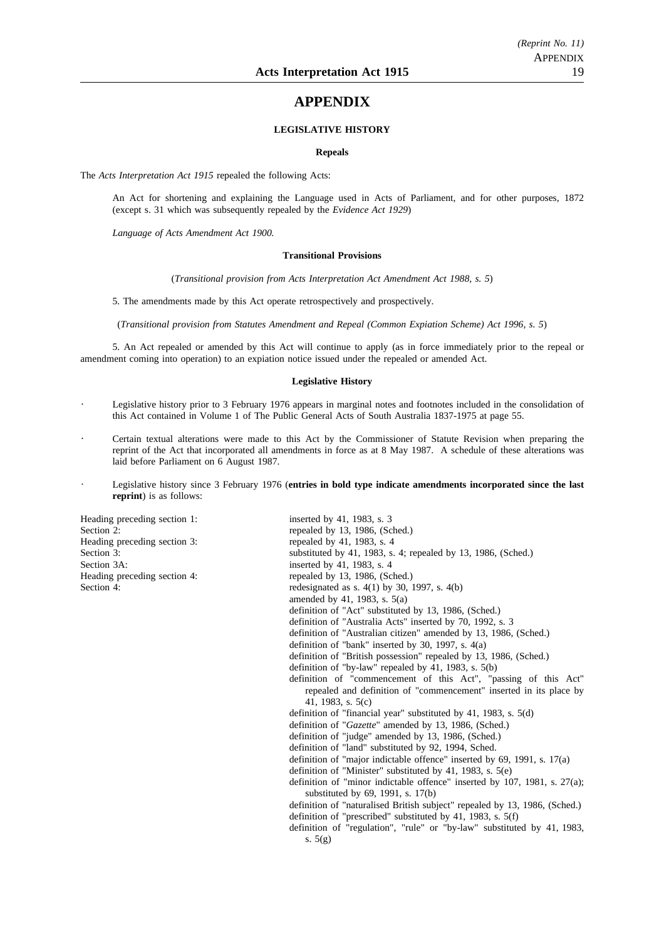## **APPENDIX**

## **LEGISLATIVE HISTORY**

#### **Repeals**

The *Acts Interpretation Act 1915* repealed the following Acts:

An Act for shortening and explaining the Language used in Acts of Parliament, and for other purposes, 1872 (except s. 31 which was subsequently repealed by the *Evidence Act 1929*)

*Language of Acts Amendment Act 1900.*

#### **Transitional Provisions**

(*Transitional provision from Acts Interpretation Act Amendment Act 1988, s. 5*)

5. The amendments made by this Act operate retrospectively and prospectively.

(*Transitional provision from Statutes Amendment and Repeal (Common Expiation Scheme) Act 1996, s. 5*)

5. An Act repealed or amended by this Act will continue to apply (as in force immediately prior to the repeal or amendment coming into operation) to an expiation notice issued under the repealed or amended Act.

#### **Legislative History**

- Legislative history prior to 3 February 1976 appears in marginal notes and footnotes included in the consolidation of this Act contained in Volume 1 of The Public General Acts of South Australia 1837-1975 at page 55.
- Certain textual alterations were made to this Act by the Commissioner of Statute Revision when preparing the reprint of the Act that incorporated all amendments in force as at 8 May 1987. A schedule of these alterations was laid before Parliament on 6 August 1987.
- Legislative history since 3 February 1976 (**entries in bold type indicate amendments incorporated since the last**  $\ddot{\phantom{a}}$ **reprint**) is as follows:

Heading preceding section 1: inserted by 41, 1983, s. 3 Heading preceding section 3: Section 3A: Heading preceding section 4:

| ricaunig preceding secuon r. | $\frac{1}{2}$                                                                                                     |
|------------------------------|-------------------------------------------------------------------------------------------------------------------|
| Section 2:                   | repealed by 13, 1986, (Sched.)                                                                                    |
| Heading preceding section 3: | repealed by 41, 1983, s. 4                                                                                        |
| Section 3:                   | substituted by 41, 1983, s. 4; repealed by 13, 1986, (Sched.)                                                     |
| Section 3A:                  | inserted by 41, 1983, s. 4                                                                                        |
| Heading preceding section 4: | repealed by 13, 1986, (Sched.)                                                                                    |
| Section 4:                   | redesignated as s. $4(1)$ by 30, 1997, s. $4(b)$                                                                  |
|                              | amended by 41, 1983, s. $5(a)$                                                                                    |
|                              | definition of "Act" substituted by 13, 1986, (Sched.)                                                             |
|                              | definition of "Australia Acts" inserted by 70, 1992, s. 3                                                         |
|                              | definition of "Australian citizen" amended by 13, 1986, (Sched.)                                                  |
|                              | definition of "bank" inserted by 30, 1997, s. $4(a)$                                                              |
|                              | definition of "British possession" repealed by 13, 1986, (Sched.)                                                 |
|                              | definition of "by-law" repealed by 41, 1983, s. $5(b)$                                                            |
|                              | definition of "commencement of this Act", "passing of this Act"                                                   |
|                              | repealed and definition of "commencement" inserted in its place by                                                |
|                              | 41, 1983, s. $5(c)$                                                                                               |
|                              | definition of "financial year" substituted by 41, 1983, s. $5(d)$                                                 |
|                              | definition of "Gazette" amended by 13, 1986, (Sched.)                                                             |
|                              | definition of "judge" amended by 13, 1986, (Sched.)                                                               |
|                              | definition of "land" substituted by 92, 1994, Sched.                                                              |
|                              | definition of "major indictable offence" inserted by $69$ , $1991$ , s. $17(a)$                                   |
|                              | definition of "Minister" substituted by 41, 1983, s. $5(e)$                                                       |
|                              | definition of "minor indictable offence" inserted by 107, 1981, s. $27(a)$ ;<br>substituted by 69, 1991, s. 17(b) |
|                              | definition of "naturalised British subject" repealed by 13, 1986, (Sched.)                                        |
|                              | definition of "prescribed" substituted by 41, 1983, s. $5(f)$                                                     |
|                              | definition of "regulation", "rule" or "by-law" substituted by 41, 1983,                                           |
|                              | s. $5(g)$                                                                                                         |
|                              |                                                                                                                   |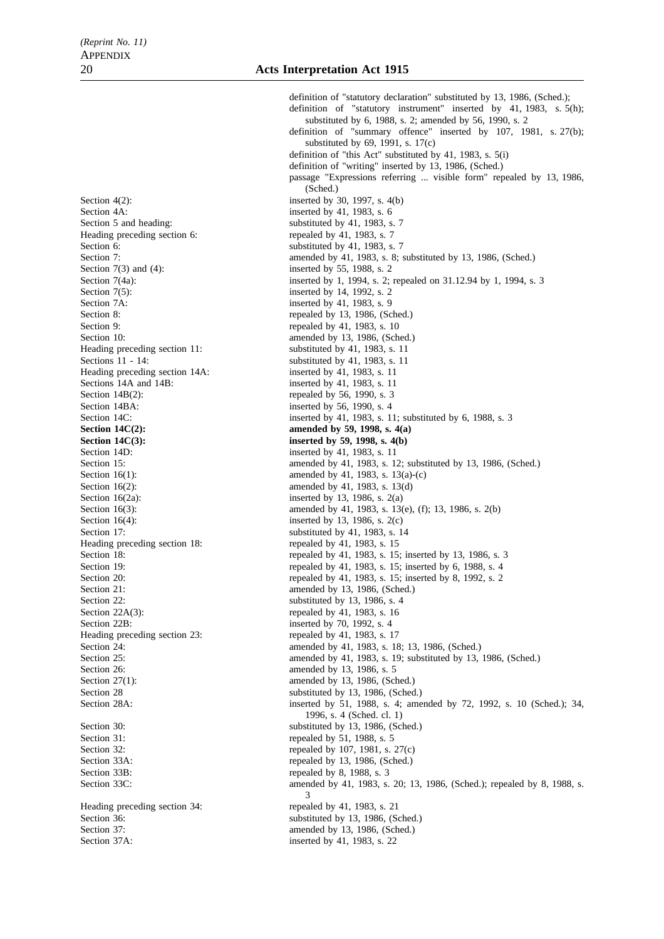Section  $4(2)$ : inserted by 30, 1997, s.  $4(b)$ Section 4A: inserted by 41, 1983, s. 6<br>Section 5 and heading: substituted by 41, 1983, s. Heading preceding section 6: repealed by 41, 1983, s. 7 Section 6: substituted by 41, 1983, s. 7 Section 7(3) and (4): inserted by 55, 1988, s. 2 Section 7A: inserted by 41, 1983, s. 9 Section 8: repealed by 13, 1986, (Sched.)<br>Section 9: repealed by 41, 1983, s. 10 Section 10: amended by 13, 1986, (Sched.)<br>Heading preceding section 11: substituted by 41, 1983, s. 11 Heading preceding section 11:<br>Sections 11 - 14: Heading preceding section 14A: inserted by 41, 1983, s. 11<br>Sections 14A and 14B: inserted by 41, 1983, s. 11 Sections 14A and 14B: inserted by 41, 1983, s. 11<br>Section 14B(2): repealed by 56, 1990, s. 3 Section 14BA: inserted by 56, 1990, s. 4 **Section 14C(2):** amended by 59, 1998, s. 4(a) **Section 14C(3):** inserted by 59, 1998, s. 4(b) Section 14D: inserted by 41, 1983, s. 11 Section 16(1): amended by 41, 1983, s. 13(a)-(c) Section 16(2): amended by 41, 1983, s. 13(d) Section  $16(2a)$ : inserted by 13, 1986, s.  $2(a)$ Section 17: substituted by 41, 1983, s. 14<br>Heading preceding section 18: repealed by 41, 1983, s. 15 Heading preceding section 18: Section 21: amended by 13, 1986, (Sched.) Section 22: substituted by 13, 1986, s. 4 Section 22A(3): repealed by 41, 1983, s. 16 Section 22B: inserted by 70, 1992, s. 4 Heading preceding section 23: repealed by 41, 1983, s. 17 Section 26: **amended** by 13, 1986, s. 5 Section 27(1): amended by 13, 1986, (Sched.) Section 28 substituted by 13, 1986, (Sched.) Section 30: substituted by 13, 1986, (Sched.) Section 31: repealed by 51, 1988, s. 5 Section 32: repealed by 107, 1981, s. 27(c)<br>Section 33A: repealed by 13, 1986, (Sched.) Section 33B: repealed by 8, 1988, s. 3 Heading preceding section 34: repealed by 41, 1983, s. 21 Section 36: substituted by 13, 1986, (Sched.)<br>Section 37: substituted by 13, 1986, (Sched.)

definition of "statutory declaration" substituted by 13, 1986, (Sched.); definition of "statutory instrument" inserted by 41, 1983, s. 5(h); substituted by 6, 1988, s. 2; amended by 56, 1990, s. 2 definition of "summary offence" inserted by 107, 1981, s. 27(b); substituted by 69, 1991, s. 17(c) definition of "this Act" substituted by 41, 1983, s. 5(i) definition of "writing" inserted by 13, 1986, (Sched.) passage "Expressions referring ... visible form" repealed by 13, 1986, (Sched.) substituted by  $41$ , 1983, s. 7 Section 7: amended by 41, 1983, s. 8; substituted by 13, 1986, (Sched.) Section 7(4a): inserted by 1, 1994, s. 2; repealed on 31.12.94 by 1, 1994, s. 3<br>Section 7(5): inserted by 14, 1992, s. 2 inserted by 14, 1992, s. 2 repealed by  $41, 1983, s. 10$ substituted by  $41, 1983, s. 11$ repealed by 56, 1990, s.  $3$ Section 14C: inserted by 41, 1983, s. 11; substituted by 6, 1988, s. 3 Section 15: amended by 41, 1983, s. 12; substituted by 13, 1986, (Sched.) Section 16(3):<br>
Section 16(4):<br>
Section 16(4):<br>
Section 16(4):<br>
Section 16(4): inserted by 13, 1986, s.  $2(c)$ Section 18: repealed by 41, 1983, s. 15; inserted by 13, 1986, s. 3<br>Section 19: repealed by 41, 1983, s. 15; inserted by 6, 1988, s. 4 Section 19: repealed by 41, 1983, s. 15; inserted by 6, 1988, s. 4<br>Section 20: repealed by 41, 1983, s. 15; inserted by 8, 1992, s. 2 repealed by 41, 1983, s. 15; inserted by 8, 1992, s. 2 Section 24: **amended** by 41, 1983, s. 18; 13, 1986, (Sched.) Section 25: **amended** by 41, 1983, s. 19; substituted by 13, 1986, (Sched.) Section 28A: inserted by 51, 1988, s. 4; amended by 72, 1992, s. 10 (Sched.); 34, 1996, s. 4 (Sched. cl. 1) repealed by  $13$ , 1986, (Sched.) Section 33C: amended by 41, 1983, s. 20; 13, 1986, (Sched.); repealed by 8, 1988, s. 3 amended by  $13$ , 1986, (Sched.) Section 37A: inserted by 41, 1983, s. 22